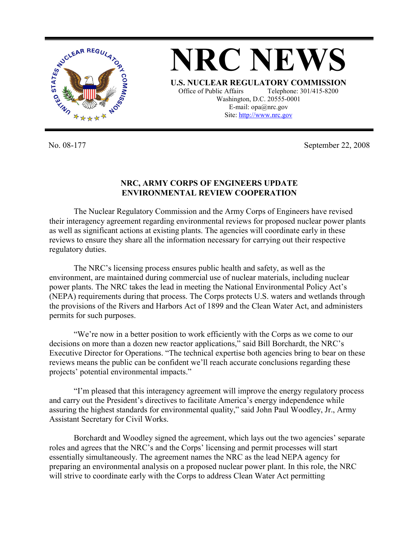

**NRC NEWS U.S. NUCLEAR REGULATORY COMMISSION** Office of Public Affairs Telephone: 301/415-8200 Washington, D.C. 20555-0001 E-mail: opa@nrc.gov Site: http://www.nrc.gov

No. 08-177 September 22, 2008

## **NRC, ARMY CORPS OF ENGINEERS UPDATE ENVIRONMENTAL REVIEW COOPERATION**

The Nuclear Regulatory Commission and the Army Corps of Engineers have revised their interagency agreement regarding environmental reviews for proposed nuclear power plants as well as significant actions at existing plants. The agencies will coordinate early in these reviews to ensure they share all the information necessary for carrying out their respective regulatory duties.

The NRC's licensing process ensures public health and safety, as well as the environment, are maintained during commercial use of nuclear materials, including nuclear power plants. The NRC takes the lead in meeting the National Environmental Policy Act's (NEPA) requirements during that process. The Corps protects U.S. waters and wetlands through the provisions of the Rivers and Harbors Act of 1899 and the Clean Water Act, and administers permits for such purposes.

"We're now in a better position to work efficiently with the Corps as we come to our decisions on more than a dozen new reactor applications," said Bill Borchardt, the NRC's Executive Director for Operations. "The technical expertise both agencies bring to bear on these reviews means the public can be confident we'll reach accurate conclusions regarding these projects' potential environmental impacts."

"I'm pleased that this interagency agreement will improve the energy regulatory process and carry out the President's directives to facilitate America's energy independence while assuring the highest standards for environmental quality," said John Paul Woodley, Jr., Army Assistant Secretary for Civil Works.

Borchardt and Woodley signed the agreement, which lays out the two agencies' separate roles and agrees that the NRC's and the Corps' licensing and permit processes will start essentially simultaneously. The agreement names the NRC as the lead NEPA agency for preparing an environmental analysis on a proposed nuclear power plant. In this role, the NRC will strive to coordinate early with the Corps to address Clean Water Act permitting